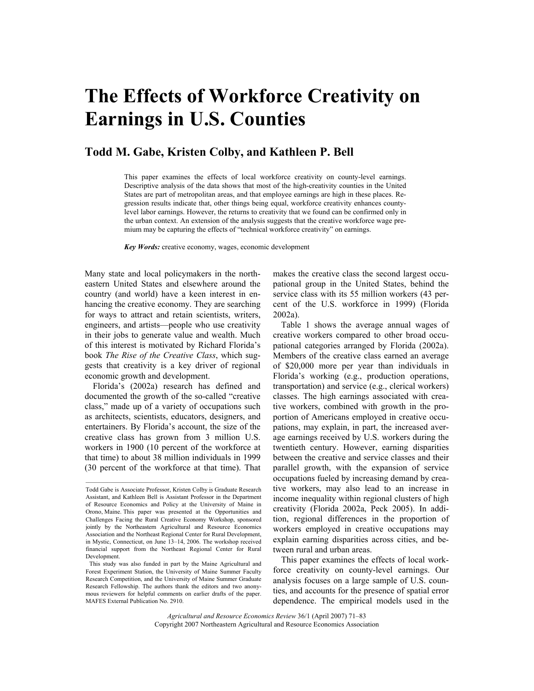# **The Effects of Workforce Creativity on Earnings in U.S. Counties**

## **Todd M. Gabe, Kristen Colby, and Kathleen P. Bell**

 This paper examines the effects of local workforce creativity on county-level earnings. Descriptive analysis of the data shows that most of the high-creativity counties in the United States are part of metropolitan areas, and that employee earnings are high in these places. Regression results indicate that, other things being equal, workforce creativity enhances countylevel labor earnings. However, the returns to creativity that we found can be confirmed only in the urban context. An extension of the analysis suggests that the creative workforce wage premium may be capturing the effects of "technical workforce creativity" on earnings.

*Key Words:* creative economy, wages, economic development

Many state and local policymakers in the northeastern United States and elsewhere around the country (and world) have a keen interest in enhancing the creative economy. They are searching for ways to attract and retain scientists, writers, engineers, and artists—people who use creativity in their jobs to generate value and wealth. Much of this interest is motivated by Richard Florida's book *The Rise of the Creative Class*, which suggests that creativity is a key driver of regional economic growth and development.

 Florida's (2002a) research has defined and documented the growth of the so-called "creative class," made up of a variety of occupations such as architects, scientists, educators, designers, and entertainers. By Florida's account, the size of the creative class has grown from 3 million U.S. workers in 1900 (10 percent of the workforce at that time) to about 38 million individuals in 1999 (30 percent of the workforce at that time). That

 $\mathcal{L}_\text{max}$ 

makes the creative class the second largest occupational group in the United States, behind the service class with its 55 million workers (43 percent of the U.S. workforce in 1999) (Florida 2002a).

 Table 1 shows the average annual wages of creative workers compared to other broad occupational categories arranged by Florida (2002a). Members of the creative class earned an average of \$20,000 more per year than individuals in Florida's working (e.g., production operations, transportation) and service (e.g., clerical workers) classes. The high earnings associated with creative workers, combined with growth in the proportion of Americans employed in creative occupations, may explain, in part, the increased average earnings received by U.S. workers during the twentieth century. However, earning disparities between the creative and service classes and their parallel growth, with the expansion of service occupations fueled by increasing demand by creative workers, may also lead to an increase in income inequality within regional clusters of high creativity (Florida 2002a, Peck 2005). In addition, regional differences in the proportion of workers employed in creative occupations may explain earning disparities across cities, and between rural and urban areas.

 This paper examines the effects of local workforce creativity on county-level earnings. Our analysis focuses on a large sample of U.S. counties, and accounts for the presence of spatial error dependence. The empirical models used in the

Todd Gabe is Associate Professor, Kristen Colby is Graduate Research Assistant, and Kathleen Bell is Assistant Professor in the Department of Resource Economics and Policy at the University of Maine in Orono, Maine. This paper was presented at the Opportunities and Challenges Facing the Rural Creative Economy Workshop, sponsored jointly by the Northeastern Agricultural and Resource Economics Association and the Northeast Regional Center for Rural Development, in Mystic, Connecticut, on June 13–14, 2006. The workshop received financial support from the Northeast Regional Center for Rural Development.

This study was also funded in part by the Maine Agricultural and Forest Experiment Station, the University of Maine Summer Faculty Research Competition, and the University of Maine Summer Graduate Research Fellowship. The authors thank the editors and two anonymous reviewers for helpful comments on earlier drafts of the paper. MAFES External Publication No. 2910.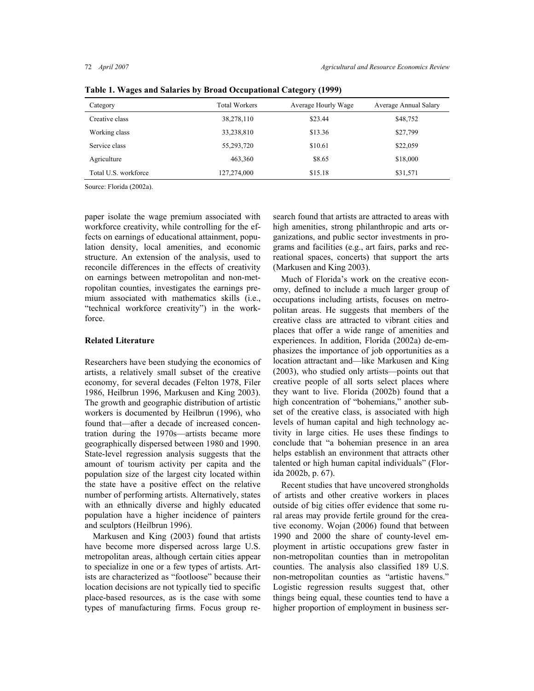| Category             | <b>Total Workers</b> | Average Hourly Wage | Average Annual Salary |
|----------------------|----------------------|---------------------|-----------------------|
| Creative class       | 38,278,110           | \$23.44             | \$48,752              |
| Working class        | 33,238,810           | \$13.36             | \$27,799              |
| Service class        | 55,293,720           | \$10.61             | \$22,059              |
| Agriculture          | 463,360              | \$8.65              | \$18,000              |
| Total U.S. workforce | 127,274,000          | \$15.18             | \$31,571              |

**Table 1. Wages and Salaries by Broad Occupational Category (1999)** 

Source: Florida (2002a).

paper isolate the wage premium associated with workforce creativity, while controlling for the effects on earnings of educational attainment, population density, local amenities, and economic structure. An extension of the analysis, used to reconcile differences in the effects of creativity on earnings between metropolitan and non-metropolitan counties, investigates the earnings premium associated with mathematics skills (i.e., "technical workforce creativity") in the workforce.

#### **Related Literature**

Researchers have been studying the economics of artists, a relatively small subset of the creative economy, for several decades (Felton 1978, Filer 1986, Heilbrun 1996, Markusen and King 2003). The growth and geographic distribution of artistic workers is documented by Heilbrun (1996), who found that—after a decade of increased concentration during the 1970s—artists became more geographically dispersed between 1980 and 1990. State-level regression analysis suggests that the amount of tourism activity per capita and the population size of the largest city located within the state have a positive effect on the relative number of performing artists. Alternatively, states with an ethnically diverse and highly educated population have a higher incidence of painters and sculptors (Heilbrun 1996).

 Markusen and King (2003) found that artists have become more dispersed across large U.S. metropolitan areas, although certain cities appear to specialize in one or a few types of artists. Artists are characterized as "footloose" because their location decisions are not typically tied to specific place-based resources, as is the case with some types of manufacturing firms. Focus group research found that artists are attracted to areas with high amenities, strong philanthropic and arts organizations, and public sector investments in programs and facilities (e.g., art fairs, parks and recreational spaces, concerts) that support the arts (Markusen and King 2003).

 Much of Florida's work on the creative economy, defined to include a much larger group of occupations including artists, focuses on metropolitan areas. He suggests that members of the creative class are attracted to vibrant cities and places that offer a wide range of amenities and experiences. In addition, Florida (2002a) de-emphasizes the importance of job opportunities as a location attractant and—like Markusen and King (2003), who studied only artists—points out that creative people of all sorts select places where they want to live. Florida (2002b) found that a high concentration of "bohemians," another subset of the creative class, is associated with high levels of human capital and high technology activity in large cities. He uses these findings to conclude that "a bohemian presence in an area helps establish an environment that attracts other talented or high human capital individuals" (Florida 2002b, p. 67).

 Recent studies that have uncovered strongholds of artists and other creative workers in places outside of big cities offer evidence that some rural areas may provide fertile ground for the creative economy. Wojan (2006) found that between 1990 and 2000 the share of county-level employment in artistic occupations grew faster in non-metropolitan counties than in metropolitan counties. The analysis also classified 189 U.S. non-metropolitan counties as "artistic havens." Logistic regression results suggest that, other things being equal, these counties tend to have a higher proportion of employment in business ser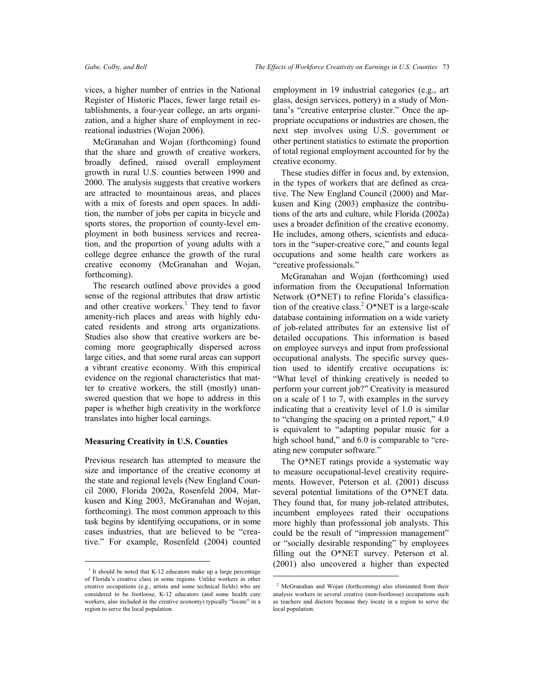vices, a higher number of entries in the National Register of Historic Places, fewer large retail establishments, a four-year college, an arts organization, and a higher share of employment in recreational industries (Wojan 2006).

 McGranahan and Wojan (forthcoming) found that the share and growth of creative workers, broadly defined, raised overall employment growth in rural U.S. counties between 1990 and 2000. The analysis suggests that creative workers are attracted to mountainous areas, and places with a mix of forests and open spaces. In addition, the number of jobs per capita in bicycle and sports stores, the proportion of county-level employment in both business services and recreation, and the proportion of young adults with a college degree enhance the growth of the rural creative economy (McGranahan and Wojan, forthcoming).

 The research outlined above provides a good sense of the regional attributes that draw artistic and other creative workers.<sup>1</sup> They tend to favor amenity-rich places and areas with highly educated residents and strong arts organizations. Studies also show that creative workers are becoming more geographically dispersed across large cities, and that some rural areas can support a vibrant creative economy. With this empirical evidence on the regional characteristics that matter to creative workers, the still (mostly) unanswered question that we hope to address in this paper is whether high creativity in the workforce translates into higher local earnings.

#### **Measuring Creativity in U.S. Counties**

Previous research has attempted to measure the size and importance of the creative economy at the state and regional levels (New England Council 2000, Florida 2002a, Rosenfeld 2004, Markusen and King 2003, McGranahan and Wojan, forthcoming). The most common approach to this task begins by identifying occupations, or in some cases industries, that are believed to be "creative." For example, Rosenfeld (2004) counted

 $\overline{a}$ 

employment in 19 industrial categories (e.g., art glass, design services, pottery) in a study of Montana's "creative enterprise cluster." Once the appropriate occupations or industries are chosen, the next step involves using U.S. government or other pertinent statistics to estimate the proportion of total regional employment accounted for by the creative economy.

 These studies differ in focus and, by extension, in the types of workers that are defined as creative. The New England Council (2000) and Markusen and King (2003) emphasize the contributions of the arts and culture, while Florida (2002a) uses a broader definition of the creative economy. He includes, among others, scientists and educators in the "super-creative core," and counts legal occupations and some health care workers as "creative professionals."

 McGranahan and Wojan (forthcoming) used information from the Occupational Information Network (O\*NET) to refine Florida's classification of the creative class.<sup>2</sup> O\*NET is a large-scale database containing information on a wide variety of job-related attributes for an extensive list of detailed occupations. This information is based on employee surveys and input from professional occupational analysts. The specific survey question used to identify creative occupations is: "What level of thinking creatively is needed to perform your current job?" Creativity is measured on a scale of 1 to 7, with examples in the survey indicating that a creativity level of 1.0 is similar to "changing the spacing on a printed report," 4.0 is equivalent to "adapting popular music for a high school band," and 6.0 is comparable to "creating new computer software."

 The O\*NET ratings provide a systematic way to measure occupational-level creativity requirements. However, Peterson et al. (2001) discuss several potential limitations of the O\*NET data. They found that, for many job-related attributes, incumbent employees rated their occupations more highly than professional job analysts. This could be the result of "impression management" or "socially desirable responding" by employees filling out the O\*NET survey. Peterson et al. (2001) also uncovered a higher than expected

 $\overline{a}$ 

 $<sup>1</sup>$  It should be noted that K-12 educators make up a large percentage</sup> of Florida's creative class in some regions. Unlike workers in other creative occupations (e.g., artists and some technical fields) who are considered to be footloose, K-12 educators (and some health care workers, also included in the creative economy) typically "locate" in a region to serve the local population.

<sup>&</sup>lt;sup>2</sup> McGranahan and Wojan (forthcoming) also eliminated from their analysis workers in several creative (non-footloose) occupations such as teachers and doctors because they locate in a region to serve the local population.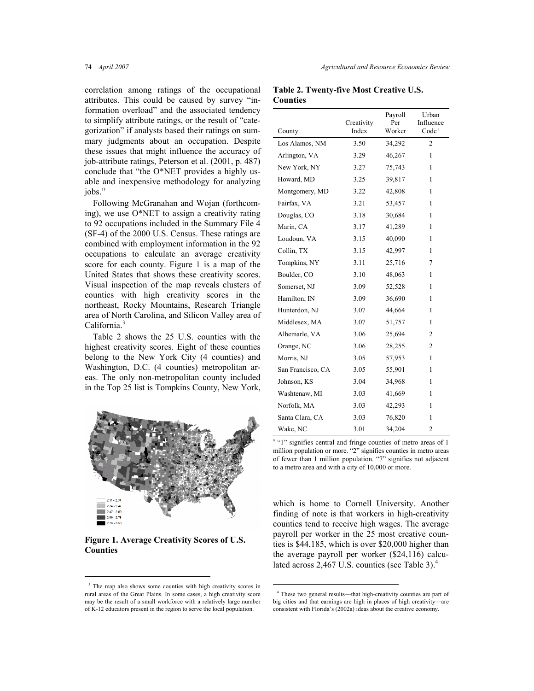correlation among ratings of the occupational attributes. This could be caused by survey "information overload" and the associated tendency to simplify attribute ratings, or the result of "categorization" if analysts based their ratings on summary judgments about an occupation. Despite these issues that might influence the accuracy of job-attribute ratings, Peterson et al. (2001, p. 487) conclude that "the O\*NET provides a highly usable and inexpensive methodology for analyzing jobs."

 Following McGranahan and Wojan (forthcoming), we use O\*NET to assign a creativity rating to 92 occupations included in the Summary File 4 (SF-4) of the 2000 U.S. Census. These ratings are combined with employment information in the 92 occupations to calculate an average creativity score for each county. Figure 1 is a map of the United States that shows these creativity scores. Visual inspection of the map reveals clusters of counties with high creativity scores in the northeast, Rocky Mountains, Research Triangle area of North Carolina, and Silicon Valley area of California.<sup>3</sup>

 Table 2 shows the 25 U.S. counties with the highest creativity scores. Eight of these counties belong to the New York City (4 counties) and Washington, D.C. (4 counties) metropolitan areas. The only non-metropolitan county included in the Top 25 list is Tompkins County, New York,



### **Figure 1. Average Creativity Scores of U.S. Counties**

 $\overline{a}$ 

### **Table 2. Twenty-five Most Creative U.S. Counties**

|                   | Creativity | Payroll<br>Per | Urban<br>Influence |
|-------------------|------------|----------------|--------------------|
| County            | Index      | Worker         | Code <sup>a</sup>  |
| Los Alamos, NM    | 3.50       | 34,292         | 2                  |
| Arlington, VA     | 3.29       | 46,267         | 1                  |
| New York, NY      | 3.27       | 75,743         | 1                  |
| Howard, MD        | 3.25       | 39,817         | 1                  |
| Montgomery, MD    | 3.22       | 42,808         | 1                  |
| Fairfax, VA       | 3.21       | 53,457         | 1                  |
| Douglas, CO       | 3.18       | 30,684         | 1                  |
| Marin, CA         | 3.17       | 41,289         | 1                  |
| Loudoun, VA       | 3.15       | 40,090         | 1                  |
| Collin, TX        | 3.15       | 42,997         | 1                  |
| Tompkins, NY      | 3.11       | 25,716         | 7                  |
| Boulder, CO       | 3.10       | 48,063         | 1                  |
| Somerset, NJ      | 3.09       | 52,528         | 1                  |
| Hamilton, IN      | 3.09       | 36,690         | 1                  |
| Hunterdon, NJ     | 3.07       | 44,664         | 1                  |
| Middlesex, MA     | 3.07       | 51,757         | 1                  |
| Albemarle, VA     | 3.06       | 25,694         | $\overline{2}$     |
| Orange, NC        | 3.06       | 28,255         | $\overline{2}$     |
| Morris, NJ        | 3.05       | 57,953         | 1                  |
| San Francisco, CA | 3.05       | 55,901         | 1                  |
| Johnson, KS       | 3.04       | 34,968         | 1                  |
| Washtenaw, MI     | 3.03       | 41,669         | 1                  |
| Norfolk, MA       | 3.03       | 42,293         | 1                  |
| Santa Clara, CA   | 3.03       | 76,820         | 1                  |
| Wake, NC          | 3.01       | 34,204         | $\overline{2}$     |

<sup>a "1</sup>" signifies central and fringe counties of metro areas of 1 million population or more. "2" signifies counties in metro areas of fewer than 1 million population. "7" signifies not adjacent to a metro area and with a city of 10,000 or more.

which is home to Cornell University. Another finding of note is that workers in high-creativity counties tend to receive high wages. The average payroll per worker in the 25 most creative counties is \$44,185, which is over \$20,000 higher than the average payroll per worker (\$24,116) calculated across 2,467 U.S. counties (see Table 3).<sup>4</sup>

 $\overline{a}$ 

<sup>&</sup>lt;sup>3</sup> The map also shows some counties with high creativity scores in rural areas of the Great Plains. In some cases, a high creativity score may be the result of a small workforce with a relatively large number of K-12 educators present in the region to serve the local population.

<sup>4</sup> These two general results—that high-creativity counties are part of big cities and that earnings are high in places of high creativity—are consistent with Florida's (2002a) ideas about the creative economy.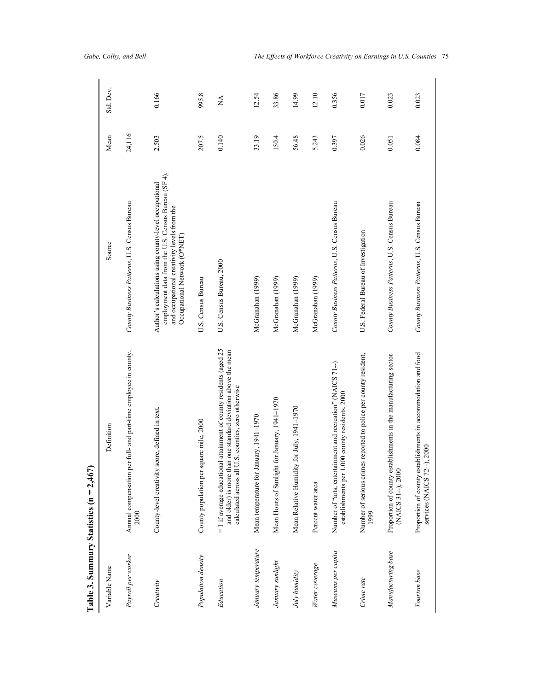| Variable Name       | Definition                                                                                                                                                                                   | Source                                                                                                                                                                                      | Mean   | Std. Dev. |
|---------------------|----------------------------------------------------------------------------------------------------------------------------------------------------------------------------------------------|---------------------------------------------------------------------------------------------------------------------------------------------------------------------------------------------|--------|-----------|
| Payroll per worker  | Annual compensation per full- and part-time employee in county,<br>2000                                                                                                                      | County Business Patterns, U.S. Census Bureau                                                                                                                                                | 24,116 |           |
| Creativity          | County-level creativity score, defined in text.                                                                                                                                              | employment data from the U.S. Census Bureau (SF 4),<br>Author's calculations using county-level occupational<br>and occupational creativity levels from the<br>Occupational Network (O*NET) | 2.503  | 0.166     |
| Population density  | County population per square mile, 2000                                                                                                                                                      | U.S. Census Bureau                                                                                                                                                                          | 207.5  | 995.8     |
| Education           | $= 1$ if average educational attainment of county residents (aged 25<br>and older) is more than one standard deviation above the mean<br>calculated across all U.S. counties, zero otherwise | U.S. Census Bureau, 2000                                                                                                                                                                    | 0.140  | Ź         |
| January temperature | Mean temperature for January, 1941-1970                                                                                                                                                      | McGranahan (1999)                                                                                                                                                                           | 33.19  | 12.54     |
| January sunlight    | for January, 1941-1970<br>Mean Hours of Sunlight                                                                                                                                             | McGranahan (1999)                                                                                                                                                                           | 150.4  | 33.86     |
| July humidity       | for July, $1941 - 1970$<br>Mean Relative Humidity                                                                                                                                            | McGranahan (1999)                                                                                                                                                                           | 56.48  | 14.99     |
| Water coverage      | Percent water area                                                                                                                                                                           | McGranahan (1999)                                                                                                                                                                           | 5.243  | 12.10     |
| Museums per capita  | Number of "arts, entertainment and recreation" (NAICS 71--)<br>establishments per 1,000 county residents, 2000                                                                               | County Business Patterns, U.S. Census Bureau                                                                                                                                                | 0.397  | 0.356     |
| Crime rate          | Number of serious crimes reported to police per county resident,<br>1999                                                                                                                     | U.S. Federal Bureau of Investigation                                                                                                                                                        | 0.026  | 0.017     |
| Manufacturing base  | Proportion of county establishments in the manufacturing sector<br>(NAICS 31--), 2000                                                                                                        | County Business Patterns, U.S. Census Bureau                                                                                                                                                | 0.051  | 0.023     |
| Tourism base        | Proportion of county establishments in accommodation and food<br>services (NAICS 72--), 2000                                                                                                 | County Business Patterns, U.S. Census Bureau                                                                                                                                                | 0.084  | 0.023     |

Table 3. Summary Statistics ( $n = 2,467$ ) **Table 3. Summary Statistics (n = 2,467)**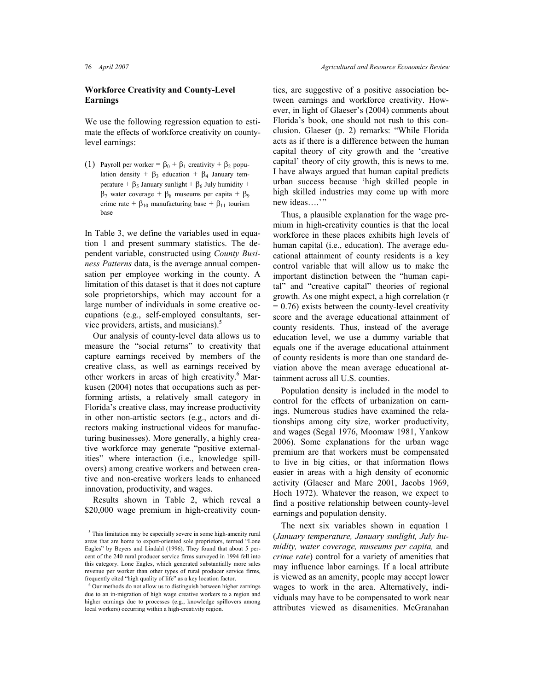#### **Workforce Creativity and County-Level Earnings**

We use the following regression equation to estimate the effects of workforce creativity on countylevel earnings:

(1) Payroll per worker =  $\beta_0 + \beta_1$  creativity +  $\beta_2$  population density +  $\beta_3$  education +  $\beta_4$  January temperature +  $\beta_5$  January sunlight +  $\beta_6$  July humidity +  $β_7$  water coverage +  $β_8$  museums per capita +  $β_9$ crime rate +  $\beta_{10}$  manufacturing base +  $\beta_{11}$  tourism base

In Table 3, we define the variables used in equation 1 and present summary statistics. The dependent variable, constructed using *County Business Patterns* data, is the average annual compensation per employee working in the county. A limitation of this dataset is that it does not capture sole proprietorships, which may account for a large number of individuals in some creative occupations (e.g., self-employed consultants, service providers, artists, and musicians).<sup>5</sup>

 Our analysis of county-level data allows us to measure the "social returns" to creativity that capture earnings received by members of the creative class, as well as earnings received by other workers in areas of high creativity.<sup>6</sup> Markusen (2004) notes that occupations such as performing artists, a relatively small category in Florida's creative class, may increase productivity in other non-artistic sectors (e.g., actors and directors making instructional videos for manufacturing businesses). More generally, a highly creative workforce may generate "positive externalities" where interaction (i.e., knowledge spillovers) among creative workers and between creative and non-creative workers leads to enhanced innovation, productivity, and wages.

 Results shown in Table 2, which reveal a \$20,000 wage premium in high-creativity coun-

 $\overline{a}$ 

ties, are suggestive of a positive association between earnings and workforce creativity. However, in light of Glaeser's (2004) comments about Florida's book, one should not rush to this conclusion. Glaeser (p. 2) remarks: "While Florida acts as if there is a difference between the human capital theory of city growth and the 'creative capital' theory of city growth, this is news to me. I have always argued that human capital predicts urban success because 'high skilled people in high skilled industries may come up with more new ideas...."

 Thus, a plausible explanation for the wage premium in high-creativity counties is that the local workforce in these places exhibits high levels of human capital (i.e., education). The average educational attainment of county residents is a key control variable that will allow us to make the important distinction between the "human capital" and "creative capital" theories of regional growth. As one might expect, a high correlation (r  $= 0.76$ ) exists between the county-level creativity score and the average educational attainment of county residents. Thus, instead of the average education level, we use a dummy variable that equals one if the average educational attainment of county residents is more than one standard deviation above the mean average educational attainment across all U.S. counties.

 Population density is included in the model to control for the effects of urbanization on earnings. Numerous studies have examined the relationships among city size, worker productivity, and wages (Segal 1976, Moomaw 1981, Yankow 2006). Some explanations for the urban wage premium are that workers must be compensated to live in big cities, or that information flows easier in areas with a high density of economic activity (Glaeser and Mare 2001, Jacobs 1969, Hoch 1972). Whatever the reason, we expect to find a positive relationship between county-level earnings and population density.

 The next six variables shown in equation 1 (*January temperature, January sunlight, July humidity, water coverage, museums per capita,* and *crime rate*) control for a variety of amenities that may influence labor earnings. If a local attribute is viewed as an amenity, people may accept lower wages to work in the area. Alternatively, individuals may have to be compensated to work near attributes viewed as disamenities. McGranahan

<sup>&</sup>lt;sup>5</sup> This limitation may be especially severe in some high-amenity rural areas that are home to export-oriented sole proprietors, termed "Lone Eagles" by Beyers and Lindahl (1996). They found that about 5 percent of the 240 rural producer service firms surveyed in 1994 fell into this category. Lone Eagles, which generated substantially more sales revenue per worker than other types of rural producer service firms, frequently cited "high quality of life" as a key location factor. 6

<sup>&</sup>lt;sup>6</sup> Our methods do not allow us to distinguish between higher earnings due to an in-migration of high wage creative workers to a region and higher earnings due to processes (e.g., knowledge spillovers among local workers) occurring within a high-creativity region.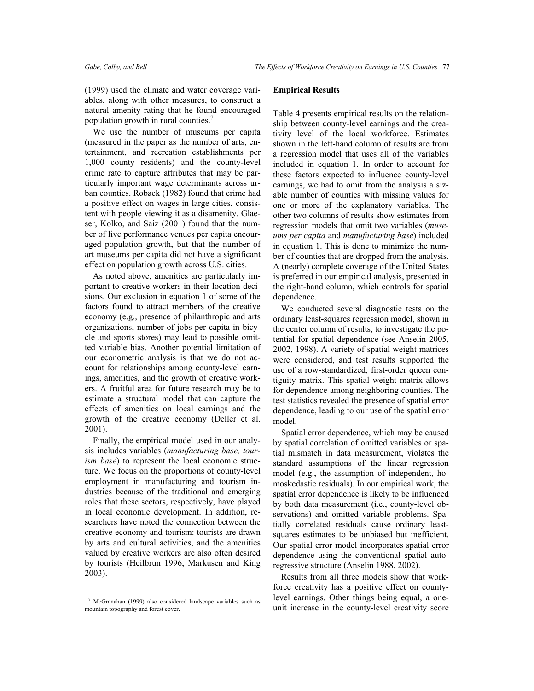(1999) used the climate and water coverage variables, along with other measures, to construct a natural amenity rating that he found encouraged population growth in rural counties.<sup>7</sup>

 We use the number of museums per capita (measured in the paper as the number of arts, entertainment, and recreation establishments per 1,000 county residents) and the county-level crime rate to capture attributes that may be particularly important wage determinants across urban counties. Roback (1982) found that crime had a positive effect on wages in large cities, consistent with people viewing it as a disamenity. Glaeser, Kolko, and Saiz (2001) found that the number of live performance venues per capita encouraged population growth, but that the number of art museums per capita did not have a significant effect on population growth across U.S. cities.

 As noted above, amenities are particularly important to creative workers in their location decisions. Our exclusion in equation 1 of some of the factors found to attract members of the creative economy (e.g., presence of philanthropic and arts organizations, number of jobs per capita in bicycle and sports stores) may lead to possible omitted variable bias. Another potential limitation of our econometric analysis is that we do not account for relationships among county-level earnings, amenities, and the growth of creative workers. A fruitful area for future research may be to estimate a structural model that can capture the effects of amenities on local earnings and the growth of the creative economy (Deller et al. 2001).

 Finally, the empirical model used in our analysis includes variables (*manufacturing base, tourism base*) to represent the local economic structure. We focus on the proportions of county-level employment in manufacturing and tourism industries because of the traditional and emerging roles that these sectors, respectively, have played in local economic development. In addition, researchers have noted the connection between the creative economy and tourism: tourists are drawn by arts and cultural activities, and the amenities valued by creative workers are also often desired by tourists (Heilbrun 1996, Markusen and King 2003).

 $\overline{a}$ 

#### **Empirical Results**

Table 4 presents empirical results on the relationship between county-level earnings and the creativity level of the local workforce. Estimates shown in the left-hand column of results are from a regression model that uses all of the variables included in equation 1. In order to account for these factors expected to influence county-level earnings, we had to omit from the analysis a sizable number of counties with missing values for one or more of the explanatory variables. The other two columns of results show estimates from regression models that omit two variables (*museums per capita* and *manufacturing base*) included in equation 1. This is done to minimize the number of counties that are dropped from the analysis. A (nearly) complete coverage of the United States is preferred in our empirical analysis, presented in the right-hand column, which controls for spatial dependence.

 We conducted several diagnostic tests on the ordinary least-squares regression model, shown in the center column of results, to investigate the potential for spatial dependence (see Anselin 2005, 2002, 1998). A variety of spatial weight matrices were considered, and test results supported the use of a row-standardized, first-order queen contiguity matrix. This spatial weight matrix allows for dependence among neighboring counties. The test statistics revealed the presence of spatial error dependence, leading to our use of the spatial error model.

 Spatial error dependence, which may be caused by spatial correlation of omitted variables or spatial mismatch in data measurement, violates the standard assumptions of the linear regression model (e.g., the assumption of independent, homoskedastic residuals). In our empirical work, the spatial error dependence is likely to be influenced by both data measurement (i.e., county-level observations) and omitted variable problems. Spatially correlated residuals cause ordinary leastsquares estimates to be unbiased but inefficient. Our spatial error model incorporates spatial error dependence using the conventional spatial autoregressive structure (Anselin 1988, 2002).

 Results from all three models show that workforce creativity has a positive effect on countylevel earnings. Other things being equal, a oneunit increase in the county-level creativity score

<sup>7</sup> McGranahan (1999) also considered landscape variables such as mountain topography and forest cover.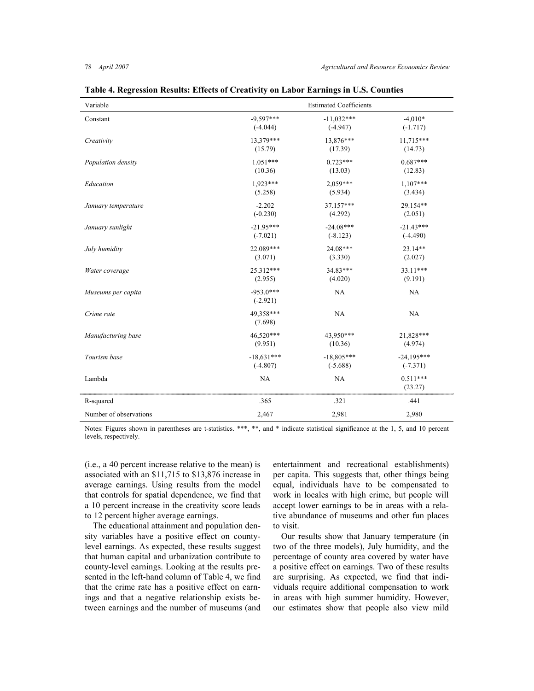| Variable               |                           | <b>Estimated Coefficients</b> |                       |
|------------------------|---------------------------|-------------------------------|-----------------------|
| Constant               | $-9,597***$               | $-11,032***$                  | $-4,010*$             |
|                        | $(-4.044)$                | $(-4.947)$                    | $(-1.717)$            |
| Creativity             | 13,379***                 | 13,876***                     | $11,715***$           |
|                        | (15.79)                   | (17.39)                       | (14.73)               |
| Population density     | $1.051***$                | $0.723***$                    | $0.687***$            |
|                        | (10.36)                   | (13.03)                       | (12.83)               |
| Education              | 1,923***                  | 2,059***                      | $1,107***$            |
|                        | (5.258)                   | (5.934)                       | (3.434)               |
| January temperature    | $-2.202$                  | 37.157***                     | 29.154**              |
|                        | $(-0.230)$                | (4.292)                       | (2.051)               |
| January sunlight       | $-21.95***$               | $-24.08***$                   | $-21.43***$           |
|                        | $(-7.021)$                | $(-8.123)$                    | $(-4.490)$            |
| July humidity          | 22.089***                 | 24.08***                      | $23.14**$             |
|                        | (3.071)                   | (3.330)                       | (2.027)               |
| Water coverage         | 25.312***                 | 34.83***                      | 33.11***              |
|                        | (2.955)                   | (4.020)                       | (9.191)               |
| Museums per capita     | $-953.0***$<br>$(-2.921)$ | NA                            | NA                    |
| Crime rate             | 49,358***<br>(7.698)      | NA                            | NA                    |
| Manufacturing base     | 46.520***                 | 43,950***                     | 21,828***             |
|                        | (9.951)                   | (10.36)                       | (4.974)               |
| Tourism base           | $-18,631***$              | $-18,805***$                  | $-24.195***$          |
|                        | $(-4.807)$                | $(-5.688)$                    | $(-7.371)$            |
| Lambda                 | NA                        | NA                            | $0.511***$<br>(23.27) |
| R-squared              | .365                      | .321                          | .441                  |
| Number of observations | 2,467                     | 2,981                         | 2,980                 |

|  |  |  | Table 4. Regression Results: Effects of Creativity on Labor Earnings in U.S. Counties |
|--|--|--|---------------------------------------------------------------------------------------|
|  |  |  |                                                                                       |

Notes: Figures shown in parentheses are t-statistics. \*\*\*, \*\*, and \* indicate statistical significance at the 1, 5, and 10 percent levels, respectively.

(i.e., a 40 percent increase relative to the mean) is associated with an \$11,715 to \$13,876 increase in average earnings. Using results from the model that controls for spatial dependence, we find that a 10 percent increase in the creativity score leads to 12 percent higher average earnings.

 The educational attainment and population density variables have a positive effect on countylevel earnings. As expected, these results suggest that human capital and urbanization contribute to county-level earnings. Looking at the results presented in the left-hand column of Table 4, we find that the crime rate has a positive effect on earnings and that a negative relationship exists between earnings and the number of museums (and entertainment and recreational establishments) per capita. This suggests that, other things being equal, individuals have to be compensated to work in locales with high crime, but people will accept lower earnings to be in areas with a relative abundance of museums and other fun places to visit.

 Our results show that January temperature (in two of the three models), July humidity, and the percentage of county area covered by water have a positive effect on earnings. Two of these results are surprising. As expected, we find that individuals require additional compensation to work in areas with high summer humidity. However, our estimates show that people also view mild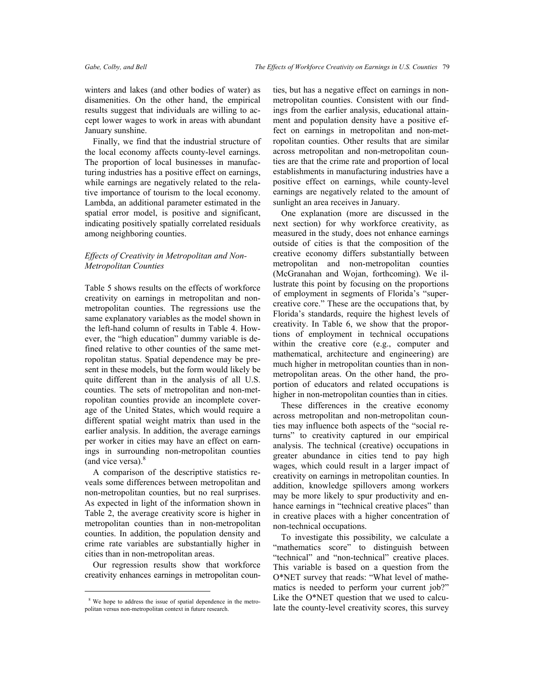winters and lakes (and other bodies of water) as disamenities. On the other hand, the empirical results suggest that individuals are willing to accept lower wages to work in areas with abundant January sunshine.

 Finally, we find that the industrial structure of the local economy affects county-level earnings. The proportion of local businesses in manufacturing industries has a positive effect on earnings, while earnings are negatively related to the relative importance of tourism to the local economy. Lambda, an additional parameter estimated in the spatial error model, is positive and significant, indicating positively spatially correlated residuals among neighboring counties.

### *Effects of Creativity in Metropolitan and Non-Metropolitan Counties*

Table 5 shows results on the effects of workforce creativity on earnings in metropolitan and nonmetropolitan counties. The regressions use the same explanatory variables as the model shown in the left-hand column of results in Table 4. However, the "high education" dummy variable is defined relative to other counties of the same metropolitan status. Spatial dependence may be present in these models, but the form would likely be quite different than in the analysis of all U.S. counties. The sets of metropolitan and non-metropolitan counties provide an incomplete coverage of the United States, which would require a different spatial weight matrix than used in the earlier analysis. In addition, the average earnings per worker in cities may have an effect on earnings in surrounding non-metropolitan counties (and vice versa).<sup>8</sup>

 A comparison of the descriptive statistics reveals some differences between metropolitan and non-metropolitan counties, but no real surprises. As expected in light of the information shown in Table 2, the average creativity score is higher in metropolitan counties than in non-metropolitan counties. In addition, the population density and crime rate variables are substantially higher in cities than in non-metropolitan areas.

 Our regression results show that workforce creativity enhances earnings in metropolitan coun-

 $\overline{a}$ 

ties, but has a negative effect on earnings in nonmetropolitan counties. Consistent with our findings from the earlier analysis, educational attainment and population density have a positive effect on earnings in metropolitan and non-metropolitan counties. Other results that are similar across metropolitan and non-metropolitan counties are that the crime rate and proportion of local establishments in manufacturing industries have a positive effect on earnings, while county-level earnings are negatively related to the amount of sunlight an area receives in January.

 One explanation (more are discussed in the next section) for why workforce creativity, as measured in the study, does not enhance earnings outside of cities is that the composition of the creative economy differs substantially between metropolitan and non-metropolitan counties (McGranahan and Wojan, forthcoming). We illustrate this point by focusing on the proportions of employment in segments of Florida's "supercreative core." These are the occupations that, by Florida's standards, require the highest levels of creativity. In Table 6, we show that the proportions of employment in technical occupations within the creative core (e.g., computer and mathematical, architecture and engineering) are much higher in metropolitan counties than in nonmetropolitan areas. On the other hand, the proportion of educators and related occupations is higher in non-metropolitan counties than in cities.

 These differences in the creative economy across metropolitan and non-metropolitan counties may influence both aspects of the "social returns" to creativity captured in our empirical analysis. The technical (creative) occupations in greater abundance in cities tend to pay high wages, which could result in a larger impact of creativity on earnings in metropolitan counties. In addition, knowledge spillovers among workers may be more likely to spur productivity and enhance earnings in "technical creative places" than in creative places with a higher concentration of non-technical occupations.

 To investigate this possibility, we calculate a "mathematics score" to distinguish between "technical" and "non-technical" creative places. This variable is based on a question from the O\*NET survey that reads: "What level of mathematics is needed to perform your current job?" Like the O\*NET question that we used to calculate the county-level creativity scores, this survey

<sup>&</sup>lt;sup>8</sup> We hope to address the issue of spatial dependence in the metropolitan versus non-metropolitan context in future research.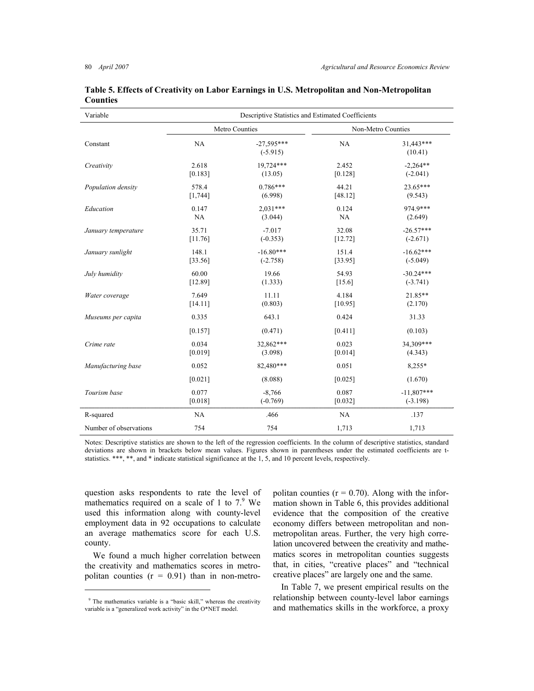| Variable               | Descriptive Statistics and Estimated Coefficients |                            |         |                      |
|------------------------|---------------------------------------------------|----------------------------|---------|----------------------|
|                        | Metro Counties                                    |                            |         | Non-Metro Counties   |
| Constant               | NA                                                | $-27,595***$<br>$(-5.915)$ | NA      | 31,443***<br>(10.41) |
| Creativity             | 2.618                                             | 19,724***                  | 2.452   | $-2,264**$           |
|                        | [0.183]                                           | (13.05)                    | [0.128] | $(-2.041)$           |
| Population density     | 578.4                                             | $0.786***$                 | 44.21   | $23.65***$           |
|                        | [1, 744]                                          | (6.998)                    | [48.12] | (9.543)              |
| Education              | 0.147                                             | $2.031***$                 | 0.124   | 974.9***             |
|                        | <b>NA</b>                                         | (3.044)                    | NA      | (2.649)              |
| January temperature    | 35.71                                             | $-7.017$                   | 32.08   | $-26.57***$          |
|                        | [11.76]                                           | $(-0.353)$                 | [12.72] | $(-2.671)$           |
| January sunlight       | 148.1                                             | $-16.80***$                | 151.4   | $-16.62***$          |
|                        | [33.56]                                           | $(-2.758)$                 | [33.95] | $(-5.049)$           |
| July humidity          | 60.00                                             | 19.66                      | 54.93   | $-30.24***$          |
|                        | [12.89]                                           | (1.333)                    | [15.6]  | $(-3.741)$           |
| Water coverage         | 7.649                                             | 11.11                      | 4.184   | $21.85**$            |
|                        | [14.11]                                           | (0.803)                    | [10.95] | (2.170)              |
| Museums per capita     | 0.335                                             | 643.1                      | 0.424   | 31.33                |
|                        | [0.157]                                           | (0.471)                    | [0.411] | (0.103)              |
| Crime rate             | 0.034                                             | 32,862***                  | 0.023   | 34,309***            |
|                        | [0.019]                                           | (3.098)                    | [0.014] | (4.343)              |
| Manufacturing base     | 0.052                                             | 82,480***                  | 0.051   | 8,255*               |
|                        | [0.021]                                           | (8.088)                    | [0.025] | (1.670)              |
| Tourism base           | 0.077                                             | $-8,766$                   | 0.087   | $-11,807***$         |
|                        | [0.018]                                           | $(-0.769)$                 | [0.032] | $(-3.198)$           |
| R-squared              | NA                                                | .466                       | NA      | .137                 |
| Number of observations | 754                                               | 754                        | 1,713   | 1,713                |

**Table 5. Effects of Creativity on Labor Earnings in U.S. Metropolitan and Non-Metropolitan Counties** 

Notes: Descriptive statistics are shown to the left of the regression coefficients. In the column of descriptive statistics, standard deviations are shown in brackets below mean values. Figures shown in parentheses under the estimated coefficients are tstatistics. \*\*\*, \*\*, and \* indicate statistical significance at the 1, 5, and 10 percent levels, respectively.

question asks respondents to rate the level of mathematics required on a scale of 1 to  $7<sup>9</sup>$  We used this information along with county-level employment data in 92 occupations to calculate an average mathematics score for each U.S. county.

 We found a much higher correlation between the creativity and mathematics scores in metropolitan counties  $(r = 0.91)$  than in non-metro-

 $\overline{a}$ 

politan counties  $(r = 0.70)$ . Along with the information shown in Table 6, this provides additional evidence that the composition of the creative economy differs between metropolitan and nonmetropolitan areas. Further, the very high correlation uncovered between the creativity and mathematics scores in metropolitan counties suggests that, in cities, "creative places" and "technical creative places" are largely one and the same.

 In Table 7, we present empirical results on the relationship between county-level labor earnings and mathematics skills in the workforce, a proxy

<sup>&</sup>lt;sup>9</sup> The mathematics variable is a "basic skill," whereas the creativity variable is a "generalized work activity" in the O\*NET model.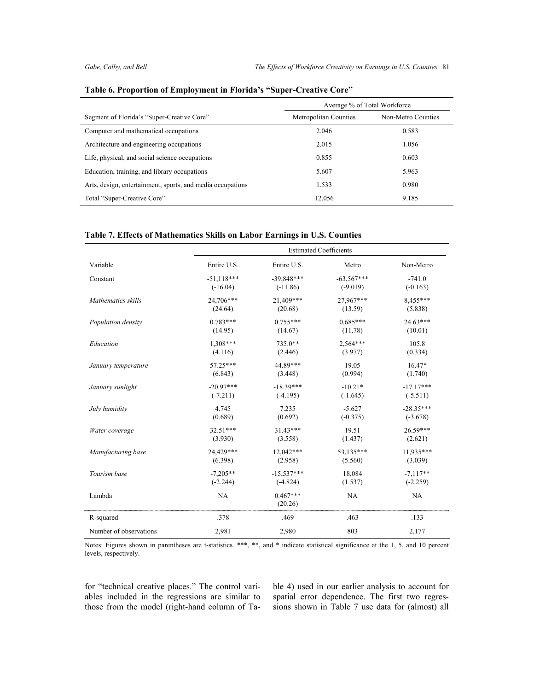|                                                            | Average % of Total Workforce |                    |  |
|------------------------------------------------------------|------------------------------|--------------------|--|
| Segment of Florida's "Super-Creative Core"                 | <b>Metropolitan Counties</b> | Non-Metro Counties |  |
| Computer and mathematical occupations                      | 2.046                        | 0.583              |  |
| Architecture and engineering occupations                   | 2.015                        | 1.056              |  |
| Life, physical, and social science occupations             | 0.855                        | 0.603              |  |
| Education, training, and library occupations               | 5.607                        | 5.963              |  |
| Arts, design, entertainment, sports, and media occupations | 1.533                        | 0.980              |  |
| Total "Super-Creative Core"                                | 12.056                       | 9.185              |  |

#### **Table 6. Proportion of Employment in Florida's "Super-Creative Core"**

#### **Table 7. Effects of Mathematics Skills on Labor Earnings in U.S. Counties**

|                        | <b>Estimated Coefficients</b> |                       |              |             |
|------------------------|-------------------------------|-----------------------|--------------|-------------|
| Variable               | Entire U.S.                   | Entire U.S.           | Metro        | Non-Metro   |
| Constant               | $-51,118***$                  | $-39.848***$          | $-63.567***$ | $-741.0$    |
|                        | $(-16.04)$                    | $(-11.86)$            | $(-9.019)$   | $(-0.163)$  |
| Mathematics skills     | 24.706***                     | 21.409***             | 27.967***    | 8,455***    |
|                        | (24.64)                       | (20.68)               | (13.59)      | (5.838)     |
| Population density     | $0.783***$                    | $0.755***$            | $0.685***$   | $24.63***$  |
|                        | (14.95)                       | (14.67)               | (11.78)      | (10.01)     |
| Education              | $1.308***$                    | 735.0**               | $2.564***$   | 105.8       |
|                        | (4.116)                       | (2.446)               | (3.977)      | (0.334)     |
| January temperature    | $57.25***$                    | 44.89***              | 19.05        | $16.47*$    |
|                        | (6.843)                       | (3.448)               | (0.994)      | (1.740)     |
| January sunlight       | $-20.97***$                   | $-18.39***$           | $-10.21*$    | $-17.17***$ |
|                        | $(-7.211)$                    | $(-4.195)$            | $(-1.645)$   | $(-5.511)$  |
| July humidity          | 4.745                         | 7.235                 | $-5.627$     | $-28.35***$ |
|                        | (0.689)                       | (0.692)               | $(-0.375)$   | $(-3.678)$  |
| Water coverage         | $32.51***$                    | $31.43***$            | 19.51        | 26.59***    |
|                        | (3.930)                       | (3.558)               | (1.437)      | (2.621)     |
| Manufacturing base     | 24.429***                     | 12.042***             | 53.135***    | 11,935***   |
|                        | (6.398)                       | (2.958)               | (5.560)      | (3.039)     |
| Tourism base           | $-7.205**$                    | $-15,537***$          | 18,084       | $-7.117**$  |
|                        | $(-2.244)$                    | $(-4.824)$            | (1.537)      | $(-2.259)$  |
| Lambda                 | NA                            | $0.467***$<br>(20.26) | NA           | NA          |
| R-squared              | .378                          | .469                  | .463         | .133        |
| Number of observations | 2,981                         | 2,980                 | 803          | 2,177       |

Notes: Figures shown in parentheses are t-statistics. \*\*\*, \*\*, and \* indicate statistical significance at the 1, 5, and 10 percent levels, respectively.

for "technical creative places." The control variables included in the regressions are similar to those from the model (right-hand column of Table 4) used in our earlier analysis to account for spatial error dependence. The first two regressions shown in Table 7 use data for (almost) all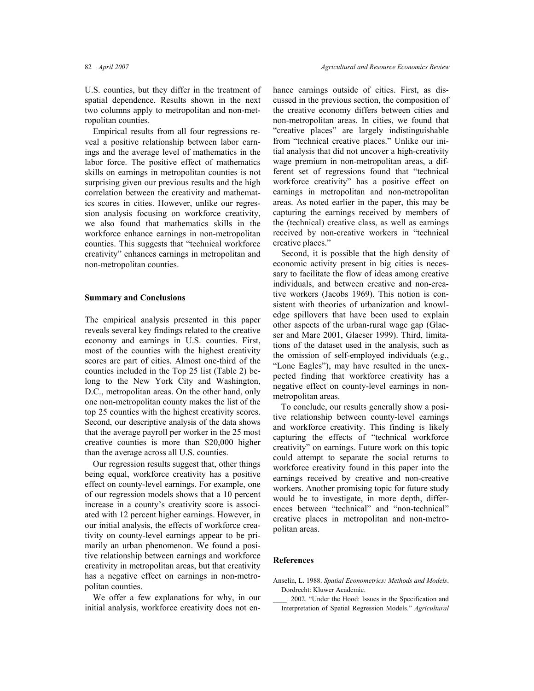Empirical results from all four regressions reveal a positive relationship between labor earnings and the average level of mathematics in the labor force. The positive effect of mathematics skills on earnings in metropolitan counties is not surprising given our previous results and the high correlation between the creativity and mathematics scores in cities. However, unlike our regression analysis focusing on workforce creativity, we also found that mathematics skills in the workforce enhance earnings in non-metropolitan counties. This suggests that "technical workforce creativity" enhances earnings in metropolitan and non-metropolitan counties.

#### **Summary and Conclusions**

The empirical analysis presented in this paper reveals several key findings related to the creative economy and earnings in U.S. counties. First, most of the counties with the highest creativity scores are part of cities. Almost one-third of the counties included in the Top 25 list (Table 2) belong to the New York City and Washington, D.C., metropolitan areas. On the other hand, only one non-metropolitan county makes the list of the top 25 counties with the highest creativity scores. Second, our descriptive analysis of the data shows that the average payroll per worker in the 25 most creative counties is more than \$20,000 higher than the average across all U.S. counties.

 Our regression results suggest that, other things being equal, workforce creativity has a positive effect on county-level earnings. For example, one of our regression models shows that a 10 percent increase in a county's creativity score is associated with 12 percent higher earnings. However, in our initial analysis, the effects of workforce creativity on county-level earnings appear to be primarily an urban phenomenon. We found a positive relationship between earnings and workforce creativity in metropolitan areas, but that creativity has a negative effect on earnings in non-metropolitan counties.

 We offer a few explanations for why, in our initial analysis, workforce creativity does not enhance earnings outside of cities. First, as discussed in the previous section, the composition of the creative economy differs between cities and non-metropolitan areas. In cities, we found that "creative places" are largely indistinguishable from "technical creative places." Unlike our initial analysis that did not uncover a high-creativity wage premium in non-metropolitan areas, a different set of regressions found that "technical workforce creativity" has a positive effect on earnings in metropolitan and non-metropolitan areas. As noted earlier in the paper, this may be capturing the earnings received by members of the (technical) creative class, as well as earnings received by non-creative workers in "technical creative places."

 Second, it is possible that the high density of economic activity present in big cities is necessary to facilitate the flow of ideas among creative individuals, and between creative and non-creative workers (Jacobs 1969). This notion is consistent with theories of urbanization and knowledge spillovers that have been used to explain other aspects of the urban-rural wage gap (Glaeser and Mare 2001, Glaeser 1999). Third, limitations of the dataset used in the analysis, such as the omission of self-employed individuals (e.g., "Lone Eagles"), may have resulted in the unexpected finding that workforce creativity has a negative effect on county-level earnings in nonmetropolitan areas.

 To conclude, our results generally show a positive relationship between county-level earnings and workforce creativity. This finding is likely capturing the effects of "technical workforce creativity" on earnings. Future work on this topic could attempt to separate the social returns to workforce creativity found in this paper into the earnings received by creative and non-creative workers. Another promising topic for future study would be to investigate, in more depth, differences between "technical" and "non-technical" creative places in metropolitan and non-metropolitan areas.

#### **References**

- Anselin, L. 1988. *Spatial Econometrics: Methods and Models*. Dordrecht: Kluwer Academic.
- \_\_\_\_. 2002. "Under the Hood: Issues in the Specification and Interpretation of Spatial Regression Models." *Agricultural*